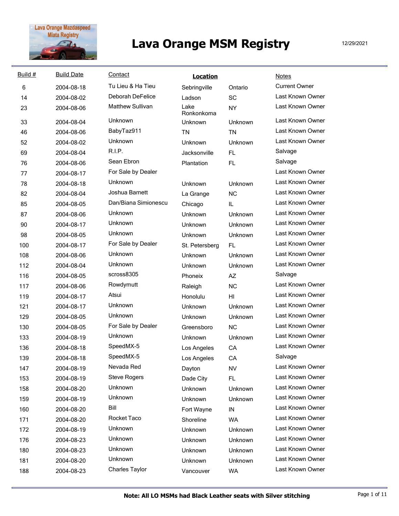

| Build # | <b>Build Date</b> | Contact                 | <b>Location</b>    |            | <b>Notes</b>         |
|---------|-------------------|-------------------------|--------------------|------------|----------------------|
| 6       | 2004-08-18        | Tu Lieu & Ha Tieu       | Sebringville       | Ontario    | <b>Current Owner</b> |
| 14      | 2004-08-02        | <b>Deborah DeFelice</b> | Ladson             | SC         | Last Known Owner     |
| 23      | 2004-08-06        | <b>Matthew Sullivan</b> | Lake<br>Ronkonkoma | <b>NY</b>  | Last Known Owner     |
| 33      | 2004-08-04        | Unknown                 | Unknown            | Unknown    | Last Known Owner     |
| 46      | 2004-08-06        | BabyTaz911              | <b>TN</b>          | <b>TN</b>  | Last Known Owner     |
| 52      | 2004-08-02        | Unknown                 | Unknown            | Unknown    | Last Known Owner     |
| 69      | 2004-08-04        | R.I.P.                  | Jacksonville       | FL.        | Salvage              |
| 76      | 2004-08-06        | Sean Ebron              | Plantation         | <b>FL</b>  | Salvage              |
| 77      | 2004-08-17        | For Sale by Dealer      |                    |            | Last Known Owner     |
| 78      | 2004-08-18        | <b>Unknown</b>          | <b>Unknown</b>     | Unknown    | Last Known Owner     |
| 82      | 2004-08-04        | Joshua Barnett          | La Grange          | <b>NC</b>  | Last Known Owner     |
| 85      | 2004-08-05        | Dan/Biana Simionescu    | Chicago            | IL         | Last Known Owner     |
| 87      | 2004-08-06        | Unknown                 | <b>Unknown</b>     | Unknown    | Last Known Owner     |
| 90      | 2004-08-17        | Unknown                 | Unknown            | Unknown    | Last Known Owner     |
| 98      | 2004-08-05        | Unknown                 | <b>Unknown</b>     | Unknown    | Last Known Owner     |
| 100     | 2004-08-17        | For Sale by Dealer      | St. Petersberg     | FL.        | Last Known Owner     |
| 108     | 2004-08-06        | Unknown                 | Unknown            | Unknown    | Last Known Owner     |
| 112     | 2004-08-04        | Unknown                 | Unknown            | Unknown    | Last Known Owner     |
| 116     | 2004-08-05        | scross8305              | Phoneix            | AZ         | Salvage              |
| 117     | 2004-08-06        | Rowdymutt               | Raleigh            | <b>NC</b>  | Last Known Owner     |
| 119     | 2004-08-17        | Atsui                   | Honolulu           | H          | Last Known Owner     |
| 121     | 2004-08-17        | Unknown                 | Unknown            | Unknown    | Last Known Owner     |
| 129     | 2004-08-05        | Unknown                 | Unknown            | Unknown    | Last Known Owner     |
| 130     | 2004-08-05        | For Sale by Dealer      | Greensboro         | <b>NC</b>  | Last Known Owner     |
| 133     | 2004-08-19        | Unknown                 | Unknown            | Unknown    | Last Known Owner     |
| 136     | 2004-08-18        | SpeedMX-5               | Los Angeles        | CA         | Last Known Owner     |
| 139     | 2004-08-18        | SpeedMX-5               | Los Angeles        | CA         | Salvage              |
| 147     | 2004-08-19        | Nevada Red              | Dayton             | NV         | Last Known Owner     |
| 153     | 2004-08-19        | <b>Steve Rogers</b>     | Dade City          | <b>FL</b>  | Last Known Owner     |
| 158     | 2004-08-20        | Unknown                 | Unknown            | Unknown    | Last Known Owner     |
| 159     | 2004-08-19        | Unknown                 | Unknown            | Unknown    | Last Known Owner     |
| 160     | 2004-08-20        | Bill                    | Fort Wayne         | ${\sf IN}$ | Last Known Owner     |
| 171     | 2004-08-20        | Rocket Taco             | Shoreline          | <b>WA</b>  | Last Known Owner     |
| 172     | 2004-08-19        | Unknown                 | Unknown            | Unknown    | Last Known Owner     |
| 176     | 2004-08-23        | Unknown                 | Unknown            | Unknown    | Last Known Owner     |
| 180     | 2004-08-23        | Unknown                 | Unknown            | Unknown    | Last Known Owner     |
| 181     | 2004-08-20        | Unknown                 | Unknown            | Unknown    | Last Known Owner     |
| 188     | 2004-08-23        | Charles Taylor          | Vancouver          | <b>WA</b>  | Last Known Owner     |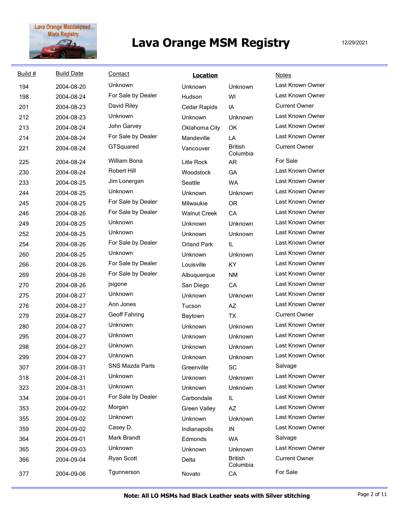

| Build # | <b>Build Date</b> | Contact                | <b>Location</b>     |                            | <b>Notes</b>         |
|---------|-------------------|------------------------|---------------------|----------------------------|----------------------|
| 194     | 2004-08-20        | Unknown                | Unknown             | Unknown                    | Last Known Owner     |
| 198     | 2004-08-24        | For Sale by Dealer     | Hudson              | WI                         | Last Known Owner     |
| 201     | 2004-08-23        | David Riley            | Cedar Rapids        | IA                         | <b>Current Owner</b> |
| 212     | 2004-08-23        | Unknown                | Unknown             | Unknown                    | Last Known Owner     |
| 213     | 2004-08-24        | John Garvey            | Oklahoma City       | OK                         | Last Known Owner     |
| 214     | 2004-08-24        | For Sale by Dealer     | Mandeville          | LA                         | Last Known Owner     |
| 221     | 2004-08-24        | GTSquared              | Vancouver           | <b>British</b><br>Columbia | <b>Current Owner</b> |
| 225     | 2004-08-24        | <b>William Bona</b>    | Litle Rock          | <b>AR</b>                  | For Sale             |
| 230     | 2004-08-24        | Robert Hill            | Woodstock           | GA                         | Last Known Owner     |
| 233     | 2004-08-25        | Jim Lonergan           | Seattle             | <b>WA</b>                  | Last Known Owner     |
| 244     | 2004-08-25        | <b>Unknown</b>         | Unknown             | Unknown                    | Last Known Owner     |
| 245     | 2004-08-25        | For Sale by Dealer     | Milwaukie           | <b>OR</b>                  | Last Known Owner     |
| 246     | 2004-08-26        | For Sale by Dealer     | <b>Walnut Creek</b> | CA                         | Last Known Owner     |
| 249     | 2004-08-25        | Unknown                | Unknown             | Unknown                    | Last Known Owner     |
| 252     | 2004-08-25        | Unknown                | Unknown             | Unknown                    | Last Known Owner     |
| 254     | 2004-08-26        | For Sale by Dealer     | <b>Orland Park</b>  | IL                         | Last Known Owner     |
| 260     | 2004-08-25        | <b>Unknown</b>         | Unknown             | Unknown                    | Last Known Owner     |
| 266     | 2004-08-26        | For Sale by Dealer     | Louisville          | KY.                        | Last Known Owner     |
| 269     | 2004-08-26        | For Sale by Dealer     | Albuquerque         | <b>NM</b>                  | Last Known Owner     |
| 270     | 2004-08-26        | jsigone                | San Diego           | CA                         | Last Known Owner     |
| 275     | 2004-08-27        | Unknown                | Unknown             | Unknown                    | Last Known Owner     |
| 276     | 2004-08-27        | Ann Jones              | Tucson              | AZ                         | Last Known Owner     |
| 279     | 2004-08-27        | Geoff Fahring          | Baytown             | <b>TX</b>                  | <b>Current Owner</b> |
| 280     | 2004-08-27        | Unknown                | Unknown             | Unknown                    | Last Known Owner     |
| 295     | 2004-08-27        | Unknown                | Unknown             | Unknown                    | Last Known Owner     |
| 298     | 2004-08-27        | Unknown                | Unknown             | <b>Unknown</b>             | Last Known Owner     |
| 299     | 2004-08-27        | Unknown                | Unknown             | Unknown                    | Last Known Owner     |
| 307     | 2004-08-31        | <b>SNS Mazda Parts</b> | Greenville          | SC                         | Salvage              |
| 318     | 2004-08-31        | Unknown                | Unknown             | Unknown                    | Last Known Owner     |
| 323     | 2004-08-31        | Unknown                | Unknown             | Unknown                    | Last Known Owner     |
| 334     | 2004-09-01        | For Sale by Dealer     | Carbondale          | IL.                        | Last Known Owner     |
| 353     | 2004-09-02        | Morgan                 | <b>Green Valley</b> | AZ                         | Last Known Owner     |
| 355     | 2004-09-02        | Unknown                | Unknown             | Unknown                    | Last Known Owner     |
| 359     | 2004-09-02        | Casey D.               | Indianapolis        | IN                         | Last Known Owner     |
| 364     | 2004-09-01        | Mark Brandt            | Edmonds             | <b>WA</b>                  | Salvage              |
| 365     | 2004-09-03        | Unknown                | Unknown             | Unknown                    | Last Known Owner     |
| 366     | 2004-09-04        | Ryan Scott             | Delta               | <b>British</b><br>Columbia | <b>Current Owner</b> |
| 377     | 2004-09-06        | Tgunnerson             | Novato              | CA                         | For Sale             |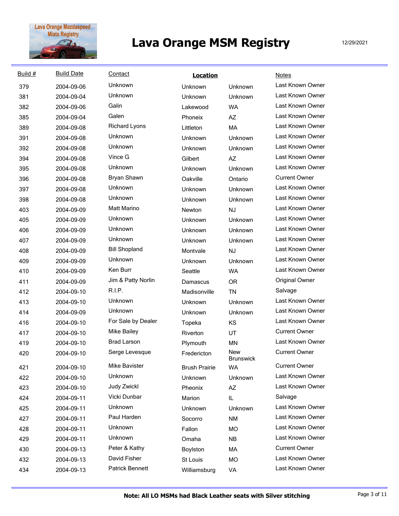

| Build # | <b>Build Date</b> | Contact              | <b>Location</b>      |                         | <b>Notes</b>         |
|---------|-------------------|----------------------|----------------------|-------------------------|----------------------|
| 379     | 2004-09-06        | Unknown              | Unknown              | Unknown                 | Last Known Owner     |
| 381     | 2004-09-04        | Unknown              | Unknown              | Unknown                 | Last Known Owner     |
| 382     | 2004-09-06        | Galin                | Lakewood             | <b>WA</b>               | Last Known Owner     |
| 385     | 2004-09-04        | Galen                | Phoneix              | AZ                      | Last Known Owner     |
| 389     | 2004-09-08        | <b>Richard Lyons</b> | Littleton            | MA                      | Last Known Owner     |
| 391     | 2004-09-08        | <b>Unknown</b>       | Unknown              | Unknown                 | Last Known Owner     |
| 392     | 2004-09-08        | <b>Unknown</b>       | Unknown              | Unknown                 | Last Known Owner     |
| 394     | 2004-09-08        | Vince G              | Gilbert              | AZ                      | Last Known Owner     |
| 395     | 2004-09-08        | <b>Unknown</b>       | Unknown              | Unknown                 | Last Known Owner     |
| 396     | 2004-09-08        | Bryan Shawn          | Oakville             | Ontario                 | <b>Current Owner</b> |
| 397     | 2004-09-08        | Unknown              | <b>Unknown</b>       | <b>Unknown</b>          | Last Known Owner     |
| 398     | 2004-09-08        | Unknown              | Unknown              | <b>Unknown</b>          | Last Known Owner     |
| 403     | 2004-09-09        | <b>Matt Marino</b>   | Newton               | NJ                      | Last Known Owner     |
| 405     | 2004-09-09        | <b>Unknown</b>       | Unknown              | <b>Unknown</b>          | Last Known Owner     |
| 406     | 2004-09-09        | Unknown              | Unknown              | Unknown                 | Last Known Owner     |
| 407     | 2004-09-09        | <b>Unknown</b>       | Unknown              | Unknown                 | Last Known Owner     |
| 408     | 2004-09-09        | <b>Bill Shopland</b> | Montvale             | <b>NJ</b>               | Last Known Owner     |
| 409     | 2004-09-09        | <b>Unknown</b>       | Unknown              | Unknown                 | Last Known Owner     |
| 410     | 2004-09-09        | Ken Burr             | Seattle              | <b>WA</b>               | Last Known Owner     |
| 411     | 2004-09-09        | Jim & Patty Norlin   | Damascus             | <b>OR</b>               | Original Owner       |
| 412     | 2004-09-10        | <b>R.I.P.</b>        | Madisonville         | <b>TN</b>               | Salvage              |
| 413     | 2004-09-10        | Unknown              | Unknown              | Unknown                 | Last Known Owner     |
| 414     | 2004-09-09        | Unknown              | Unknown              | <b>Unknown</b>          | Last Known Owner     |
| 416     | 2004-09-10        | For Sale by Dealer   | Topeka               | KS                      | Last Known Owner     |
| 417     | 2004-09-10        | <b>Mike Bailey</b>   | Riverton             | UT                      | <b>Current Owner</b> |
| 419     | 2004-09-10        | <b>Brad Larson</b>   | Plymouth             | MN                      | Last Known Owner     |
| 420     | 2004-09-10        | Serge Levesque       | Fredericton          | New<br><b>Brunswick</b> | <b>Current Owner</b> |
| 421     | 2004-09-10        | Mike Bavister        | <b>Brush Prairie</b> | WA                      | <b>Current Owner</b> |
| 422     | 2004-09-10        | Unknown              | Unknown              | Unknown                 | Last Known Owner     |
| 423     | 2004-09-10        | Judy Zwickl          | Pheonix              | AZ                      | Last Known Owner     |
| 424     | 2004-09-11        | Vicki Dunbar         | Marion               | IL.                     | Salvage              |
| 425     | 2004-09-11        | Unknown              | Unknown              | Unknown                 | Last Known Owner     |
| 427     | 2004-09-11        | Paul Harden          | Socorro              | <b>NM</b>               | Last Known Owner     |
| 428     | 2004-09-11        | Unknown              | Fallon               | MO                      | Last Known Owner     |
| 429     | 2004-09-11        | Unknown              | Omaha                | <b>NB</b>               | Last Known Owner     |
| 430     | 2004-09-13        | Peter & Kathy        | Boylston             | МA                      | <b>Current Owner</b> |
| 432     | 2004-09-13        | David Fisher         | St Louis             | MO                      | Last Known Owner     |
| 434     | 2004-09-13        | Patrick Bennett      | Williamsburg         | VA                      | Last Known Owner     |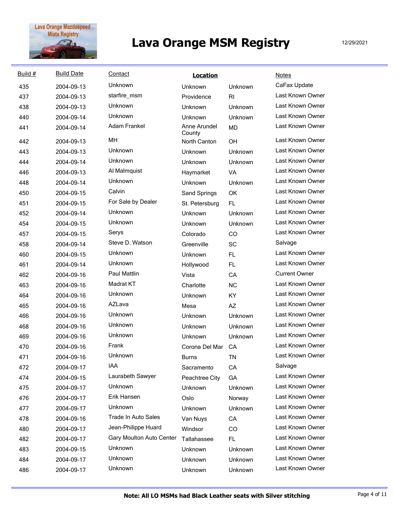

| Build # | <b>Build Date</b> | Contact                    | <b>Location</b>        |           | <b>Notes</b>         |
|---------|-------------------|----------------------------|------------------------|-----------|----------------------|
| 435     | 2004-09-13        | Unknown                    | Unknown                | Unknown   | CaFax Update         |
| 437     | 2004-09-13        | starfire_msm               | Providence             | RI        | Last Known Owner     |
| 438     | 2004-09-13        | Unknown                    | Unknown                | Unknown   | Last Known Owner     |
| 440     | 2004-09-14        | Unknown                    | Unknown                | Unknown   | Last Known Owner     |
| 441     | 2004-09-14        | <b>Adam Frankel</b>        | Anne Arundel<br>County | <b>MD</b> | Last Known Owner     |
| 442     | 2004-09-13        | MH                         | North Canton           | OH        | Last Known Owner     |
| 443     | 2004-09-13        | Unknown                    | Unknown                | Unknown   | Last Known Owner     |
| 444     | 2004-09-14        | Unknown                    | Unknown                | Unknown   | Last Known Owner     |
| 446     | 2004-09-13        | Al Malmquist               | Haymarket              | VA        | Last Known Owner     |
| 448     | 2004-09-14        | Unknown                    | Unknown                | Unknown   | Last Known Owner     |
| 450     | 2004-09-15        | Calvin                     | Sand Springs           | OK        | Last Known Owner     |
| 451     | 2004-09-15        | For Sale by Dealer         | St. Petersburg         | FL.       | Last Known Owner     |
| 452     | 2004-09-14        | Unknown                    | Unknown                | Unknown   | Last Known Owner     |
| 454     | 2004-09-15        | Unknown                    | Unknown                | Unknown   | Last Known Owner     |
| 457     | 2004-09-15        | Serys                      | Colorado               | CO        | Last Known Owner     |
| 458     | 2004-09-14        | Steve D. Watson            | Greenville             | SC        | Salvage              |
| 460     | 2004-09-15        | Unknown                    | Unknown                | <b>FL</b> | Last Known Owner     |
| 461     | 2004-09-14        | Unknown                    | Hollywood              | <b>FL</b> | Last Known Owner     |
| 462     | 2004-09-16        | <b>Paul Mattlin</b>        | Vista                  | CA        | <b>Current Owner</b> |
| 463     | 2004-09-16        | Madrat KT                  | Charlotte              | <b>NC</b> | Last Known Owner     |
| 464     | 2004-09-16        | Unknown                    | Unknown                | KY        | Last Known Owner     |
| 465     | 2004-09-16        | AZLava                     | Mesa                   | AZ        | Last Known Owner     |
| 466     | 2004-09-16        | Unknown                    | Unknown                | Unknown   | Last Known Owner     |
| 468     | 2004-09-16        | Unknown                    | Unknown                | Unknown   | Last Known Owner     |
| 469     | 2004-09-16        | Unknown                    | Unknown                | Unknown   | Last Known Owner     |
| 470     | 2004-09-16        | Frank                      | Corona Del Mar         | CA        | Last Known Owner     |
| 471     | 2004-09-16        | Unknown                    | <b>Burns</b>           | ΤN        | Last Known Owner     |
| 472     | 2004-09-17        | IAA                        | Sacramento             | CA        | Salvage              |
| 474     | 2004-09-15        | Laurabeth Sawyer           | Peachtree City         | GA        | Last Known Owner     |
| 475     | 2004-09-17        | Unknown                    | Unknown                | Unknown   | Last Known Owner     |
| 476     | 2004-09-17        | Erik Hansen                | Oslo                   | Norway    | Last Known Owner     |
| 477     | 2004-09-17        | Unknown                    | Unknown                | Unknown   | Last Known Owner     |
| 478     | 2004-09-16        | <b>Trade In Auto Sales</b> | Van Nuys               | CA        | Last Known Owner     |
| 480     | 2004-09-17        | Jean-Philippe Huard        | Windsor                | CO        | Last Known Owner     |
| 482     | 2004-09-17        | Gary Moulton Auto Center   | Tallahassee            | FL.       | Last Known Owner     |
| 483     | 2004-09-15        | Unknown                    | Unknown                | Unknown   | Last Known Owner     |
| 484     | 2004-09-17        | Unknown                    | Unknown                | Unknown   | Last Known Owner     |
| 486     | 2004-09-17        | Unknown                    | Unknown                | Unknown   | Last Known Owner     |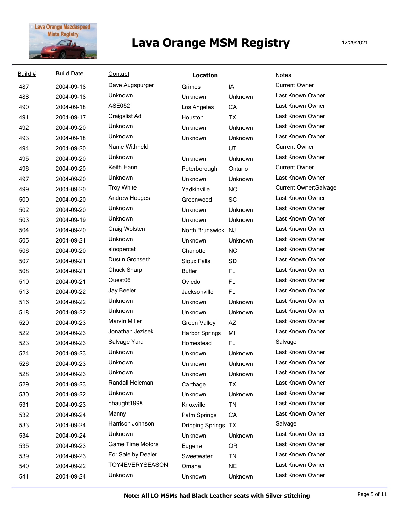

| Build # | <b>Build Date</b> | Contact                 | <b>Location</b>       |           | <b>Notes</b>           |
|---------|-------------------|-------------------------|-----------------------|-----------|------------------------|
| 487     | 2004-09-18        | Dave Augspurger         | Grimes                | IA        | <b>Current Owner</b>   |
| 488     | 2004-09-18        | Unknown                 | Unknown               | Unknown   | Last Known Owner       |
| 490     | 2004-09-18        | <b>ASE052</b>           | Los Angeles           | CA        | Last Known Owner       |
| 491     | 2004-09-17        | Craigslist Ad           | Houston               | <b>TX</b> | Last Known Owner       |
| 492     | 2004-09-20        | Unknown                 | Unknown               | Unknown   | Last Known Owner       |
| 493     | 2004-09-18        | Unknown                 | Unknown               | Unknown   | Last Known Owner       |
| 494     | 2004-09-20        | Name Withheld           |                       | UT        | <b>Current Owner</b>   |
| 495     | 2004-09-20        | Unknown                 | Unknown               | Unknown   | Last Known Owner       |
| 496     | 2004-09-20        | Keith Hann              | Peterborough          | Ontario   | <b>Current Owner</b>   |
| 497     | 2004-09-20        | Unknown                 | Unknown               | Unknown   | Last Known Owner       |
| 499     | 2004-09-20        | <b>Troy White</b>       | Yadkinville           | <b>NC</b> | Current Owner; Salvage |
| 500     | 2004-09-20        | Andrew Hodges           | Greenwood             | SC        | Last Known Owner       |
| 502     | 2004-09-20        | Unknown                 | Unknown               | Unknown   | Last Known Owner       |
| 503     | 2004-09-19        | Unknown                 | Unknown               | Unknown   | Last Known Owner       |
| 504     | 2004-09-20        | Craig Wolsten           | North Brunswick NJ    |           | Last Known Owner       |
| 505     | 2004-09-21        | <b>Unknown</b>          | Unknown               | Unknown   | Last Known Owner       |
| 506     | 2004-09-20        | sloopercat              | Charlotte             | <b>NC</b> | Last Known Owner       |
| 507     | 2004-09-21        | Dustin Gronseth         | Sioux Falls           | SD        | Last Known Owner       |
| 508     | 2004-09-21        | Chuck Sharp             | <b>Butler</b>         | FL        | Last Known Owner       |
| 510     | 2004-09-21        | Quest06                 | Oviedo                | FL        | Last Known Owner       |
| 513     | 2004-09-22        | Jay Beeler              | Jacksonville          | <b>FL</b> | Last Known Owner       |
| 516     | 2004-09-22        | Unknown                 | Unknown               | Unknown   | Last Known Owner       |
| 518     | 2004-09-22        | Unknown                 | Unknown               | Unknown   | Last Known Owner       |
| 520     | 2004-09-23        | <b>Marvin Miller</b>    | <b>Green Valley</b>   | AZ        | Last Known Owner       |
| 522     | 2004-09-23        | Jonathan Jezisek        | <b>Harbor Springs</b> | MI        | Last Known Owner       |
| 523     | 2004-09-23        | Salvage Yard            | Homestead             | FL        | Salvage                |
| 524     | 2004-09-23        | Unknown                 | Unknown               | Unknown   | Last Known Owner       |
| 526     | 2004-09-23        | Unknown                 | Unknown               | Unknown   | Last Known Owner       |
| 528     | 2004-09-23        | Unknown                 | Unknown               | Unknown   | Last Known Owner       |
| 529     | 2004-09-23        | Randall Holeman         | Carthage              | <b>TX</b> | Last Known Owner       |
| 530     | 2004-09-22        | Unknown                 | Unknown               | Unknown   | Last Known Owner       |
| 531     | 2004-09-23        | bhaught1998             | Knoxville             | <b>TN</b> | Last Known Owner       |
| 532     | 2004-09-24        | Manny                   | Palm Springs          | CA        | Last Known Owner       |
| 533     | 2004-09-24        | Harrison Johnson        | Dripping Springs TX   |           | Salvage                |
| 534     | 2004-09-24        | <b>Unknown</b>          | Unknown               | Unknown   | Last Known Owner       |
| 535     | 2004-09-23        | <b>Game Time Motors</b> | Eugene                | <b>OR</b> | Last Known Owner       |
| 539     | 2004-09-23        | For Sale by Dealer      | Sweetwater            | <b>TN</b> | Last Known Owner       |
| 540     | 2004-09-22        | TOY4EVERYSEASON         | Omaha                 | <b>NE</b> | Last Known Owner       |
| 541     | 2004-09-24        | Unknown                 | Unknown               | Unknown   | Last Known Owner       |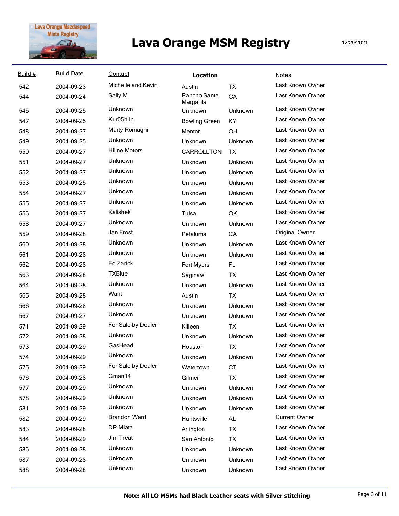

| Build # | <b>Build Date</b> | Contact              | <b>Location</b>           |           | <b>Notes</b>          |
|---------|-------------------|----------------------|---------------------------|-----------|-----------------------|
| 542     | 2004-09-23        | Michelle and Kevin   | Austin                    | <b>TX</b> | Last Known Owner      |
| 544     | 2004-09-24        | Sally M              | Rancho Santa<br>Margarita | CA        | Last Known Owner      |
| 545     | 2004-09-25        | Unknown              | Unknown                   | Unknown   | Last Known Owner      |
| 547     | 2004-09-25        | Kur05h1n             | <b>Bowling Green</b>      | KY        | Last Known Owner      |
| 548     | 2004-09-27        | Marty Romagni        | Mentor                    | OH        | Last Known Owner      |
| 549     | 2004-09-25        | Unknown              | Unknown                   | Unknown   | Last Known Owner      |
| 550     | 2004-09-27        | <b>Hiline Motors</b> | CARROLLTON                | <b>TX</b> | Last Known Owner      |
| 551     | 2004-09-27        | Unknown              | Unknown                   | Unknown   | Last Known Owner      |
| 552     | 2004-09-27        | Unknown              | Unknown                   | Unknown   | Last Known Owner      |
| 553     | 2004-09-25        | Unknown              | Unknown                   | Unknown   | Last Known Owner      |
| 554     | 2004-09-27        | Unknown              | Unknown                   | Unknown   | Last Known Owner      |
| 555     | 2004-09-27        | Unknown              | Unknown                   | Unknown   | Last Known Owner      |
| 556     | 2004-09-27        | Kalishek             | Tulsa                     | OK        | Last Known Owner      |
| 558     | 2004-09-27        | Unknown              | Unknown                   | Unknown   | Last Known Owner      |
| 559     | 2004-09-28        | Jan Frost            | Petaluma                  | CA        | <b>Original Owner</b> |
| 560     | 2004-09-28        | Unknown              | Unknown                   | Unknown   | Last Known Owner      |
| 561     | 2004-09-28        | Unknown              | Unknown                   | Unknown   | Last Known Owner      |
| 562     | 2004-09-28        | <b>Ed Zarick</b>     | Fort Myers                | FL.       | Last Known Owner      |
| 563     | 2004-09-28        | <b>TXBlue</b>        | Saginaw                   | <b>TX</b> | Last Known Owner      |
| 564     | 2004-09-28        | <b>Unknown</b>       | Unknown                   | Unknown   | Last Known Owner      |
| 565     | 2004-09-28        | Want                 | Austin                    | <b>TX</b> | Last Known Owner      |
| 566     | 2004-09-28        | Unknown              | Unknown                   | Unknown   | Last Known Owner      |
| 567     | 2004-09-27        | Unknown              | Unknown                   | Unknown   | Last Known Owner      |
| 571     | 2004-09-29        | For Sale by Dealer   | Killeen                   | <b>TX</b> | Last Known Owner      |
| 572     | 2004-09-28        | Unknown              | Unknown                   | Unknown   | Last Known Owner      |
| 573     | 2004-09-29        | GasHead              | Houston                   | <b>TX</b> | Last Known Owner      |
| 574     | 2004-09-29        | Unknown              | Unknown                   | Unknown   | Last Known Owner      |
| 575     | 2004-09-29        | For Sale by Dealer   | Watertown                 | <b>CT</b> | Last Known Owner      |
| 576     | 2004-09-28        | Gman14               | Gilmer                    | <b>TX</b> | Last Known Owner      |
| 577     | 2004-09-29        | Unknown              | Unknown                   | Unknown   | Last Known Owner      |
| 578     | 2004-09-29        | Unknown              | Unknown                   | Unknown   | Last Known Owner      |
| 581     | 2004-09-29        | <b>Unknown</b>       | Unknown                   | Unknown   | Last Known Owner      |
| 582     | 2004-09-29        | <b>Brandon Ward</b>  | Huntsville                | AL        | <b>Current Owner</b>  |
| 583     | 2004-09-28        | DR.Miata             | Arlington                 | TX        | Last Known Owner      |
| 584     | 2004-09-29        | Jim Treat            | San Antonio               | <b>TX</b> | Last Known Owner      |
| 586     | 2004-09-28        | Unknown              | Unknown                   | Unknown   | Last Known Owner      |
| 587     | 2004-09-28        | Unknown              | Unknown                   | Unknown   | Last Known Owner      |
| 588     | 2004-09-28        | Unknown              | Unknown                   | Unknown   | Last Known Owner      |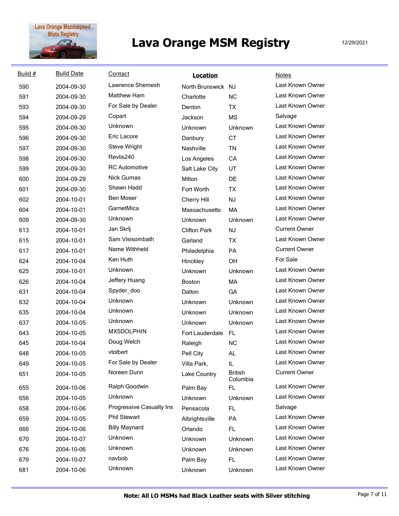

| Build # | <b>Build Date</b> | Contact                  | <b>Location</b>     |                            | Notes                |
|---------|-------------------|--------------------------|---------------------|----------------------------|----------------------|
| 590     | 2004-09-30        | Lawrence Shemesh         | North Brunswick NJ  |                            | Last Known Owner     |
| 591     | 2004-09-30        | <b>Matthew Ham</b>       | Charlotte           | <b>NC</b>                  | Last Known Owner     |
| 593     | 2004-09-30        | For Sale by Dealer       | Denton              | <b>TX</b>                  | Last Known Owner     |
| 594     | 2004-09-29        | Copart                   | Jackson             | <b>MS</b>                  | Salvage              |
| 595     | 2004-09-30        | Unknown                  | Unknown             | Unknown                    | Last Known Owner     |
| 596     | 2004-09-30        | Eric Lacore              | Danbury             | <b>CT</b>                  | Last Known Owner     |
| 597     | 2004-09-30        | <b>Steve Wright</b>      | Nashville           | <b>TN</b>                  | Last Known Owner     |
| 598     | 2004-09-30        | Revlis240                | Los Angeles         | CA                         | Last Known Owner     |
| 599     | 2004-09-30        | <b>RC</b> Automotive     | Salt Lake City      | UT                         | Last Known Owner     |
| 600     | 2004-09-29        | Nick Gurnas              | Milton              | DE                         | Last Known Owner     |
| 601     | 2004-09-30        | Shawn Hadd               | Fort Worth          | <b>TX</b>                  | Last Known Owner     |
| 602     | 2004-10-01        | <b>Ben Moser</b>         | Cherry Hill         | NJ                         | Last Known Owner     |
| 604     | 2004-10-01        | GarnetMica               | Massachusetts       | MA                         | Last Known Owner     |
| 609     | 2004-09-30        | Unknown                  | Unknown             | Unknown                    | Last Known Owner     |
| 613     | 2004-10-01        | Jan Skrlj                | <b>Clifton Park</b> | <b>NJ</b>                  | <b>Current Owner</b> |
| 615     | 2004-10-01        | Sam Visisombath          | Garland             | <b>TX</b>                  | Last Known Owner     |
| 617     | 2004-10-01        | Name Withheld            | Philadelphia        | PA                         | <b>Current Owner</b> |
| 624     | 2004-10-04        | Ken Huth                 | Hinckley            | <b>OH</b>                  | For Sale             |
| 625     | 2004-10-01        | Unknown                  | Unknown             | Unknown                    | Last Known Owner     |
| 626     | 2004-10-04        | Jeffery Huang            | <b>Boston</b>       | MA                         | Last Known Owner     |
| 631     | 2004-10-04        | Spyder_doo               | Dalton              | GA                         | Last Known Owner     |
| 632     | 2004-10-04        | Unknown                  | Unknown             | Unknown                    | Last Known Owner     |
| 635     | 2004-10-04        | Unknown                  | Unknown             | Unknown                    | Last Known Owner     |
| 637     | 2004-10-05        | Unknown                  | Unknown             | Unknown                    | Last Known Owner     |
| 643     | 2004-10-05        | MX5DOLPHIN               | Fort Lauderdale     | <b>FL</b>                  | Last Known Owner     |
| 645     | 2004-10-04        | Doug Welch               | Raleigh             | <b>NC</b>                  | Last Known Owner     |
| 648     | 2004-10-05        | vtolbert                 | Pell City           | AL                         | Last Known Owner     |
| 649     | 2004-10-05        | For Sale by Dealer       | Villa Park,         | IL                         | Last Known Owner     |
| 651     | 2004-10-05        | Noreen Dunn              | Lake Country        | <b>British</b><br>Columbia | <b>Current Owner</b> |
| 655     | 2004-10-06        | Ralph Goodwin            | Palm Bay            | FL.                        | Last Known Owner     |
| 656     | 2004-10-05        | Unknown                  | Unknown             | Unknown                    | Last Known Owner     |
| 658     | 2004-10-06        | Progressive Casualty Ins | Pensacola           | FL.                        | Salvage              |
| 659     | 2004-10-05        | <b>Phil Stewart</b>      | Albrightsville      | PA                         | Last Known Owner     |
| 666     | 2004-10-06        | <b>Billy Maynard</b>     | Orlando             | FL.                        | Last Known Owner     |
| 670     | 2004-10-07        | Unknown                  | Unknown             | Unknown                    | Last Known Owner     |
| 676     | 2004-10-06        | Unknown                  | Unknown             | Unknown                    | Last Known Owner     |
| 679     | 2004-10-07        | navbob                   | Palm Bay            | FL.                        | Last Known Owner     |
| 681     | 2004-10-06        | Unknown                  | Unknown             | Unknown                    | Last Known Owner     |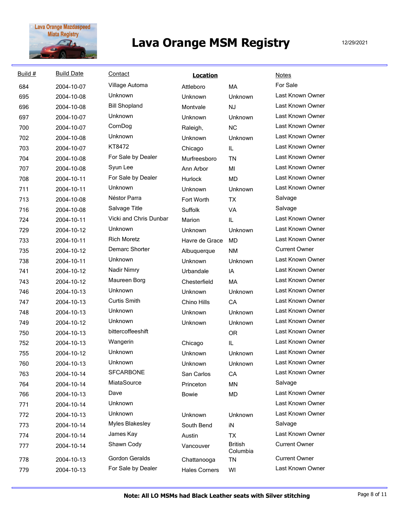

| Build # | <b>Build Date</b> | Contact                       | <b>Location</b>      |                            | <b>Notes</b>         |
|---------|-------------------|-------------------------------|----------------------|----------------------------|----------------------|
| 684     | 2004-10-07        | Village Automa                | Attleboro            | MA                         | For Sale             |
| 695     | 2004-10-08        | Unknown                       | Unknown              | Unknown                    | Last Known Owner     |
| 696     | 2004-10-08        | <b>Bill Shopland</b>          | Montvale             | NJ                         | Last Known Owner     |
| 697     | 2004-10-07        | Unknown                       | Unknown              | Unknown                    | Last Known Owner     |
| 700     | 2004-10-07        | CornDog                       | Raleigh,             | <b>NC</b>                  | Last Known Owner     |
| 702     | 2004-10-08        | <b>Unknown</b>                | Unknown              | Unknown                    | Last Known Owner     |
| 703     | 2004-10-07        | KT8472                        | Chicago              | IL                         | Last Known Owner     |
| 704     | 2004-10-08        | For Sale by Dealer            | Murfreesboro         | <b>TN</b>                  | Last Known Owner     |
| 707     | 2004-10-08        | Syun Lee                      | Ann Arbor            | MI                         | Last Known Owner     |
| 708     | 2004-10-11        | For Sale by Dealer            | Hurlock              | <b>MD</b>                  | Last Known Owner     |
| 711     | 2004-10-11        | Unknown                       | Unknown              | Unknown                    | Last Known Owner     |
| 713     | 2004-10-08        | Néstor Parra                  | Fort Worth           | <b>TX</b>                  | Salvage              |
| 716     | 2004-10-08        | Salvage Title                 | Suffolk              | VA                         | Salvage              |
| 724     | 2004-10-11        | <b>Vicki and Chris Dunbar</b> | Marion               | IL                         | Last Known Owner     |
| 729     | 2004-10-12        | <b>Unknown</b>                | Unknown              | Unknown                    | Last Known Owner     |
| 733     | 2004-10-11        | <b>Rich Moretz</b>            | Havre de Grace       | <b>MD</b>                  | Last Known Owner     |
| 735     | 2004-10-12        | Demarc Shorter                | Albuquerque          | <b>NM</b>                  | <b>Current Owner</b> |
| 738     | 2004-10-11        | <b>Unknown</b>                | Unknown              | Unknown                    | Last Known Owner     |
| 741     | 2004-10-12        | Nadir Nimry                   | Urbandale            | IA                         | Last Known Owner     |
| 743     | 2004-10-12        | Maureen Borg                  | Chesterfield         | <b>MA</b>                  | Last Known Owner     |
| 746     | 2004-10-13        | <b>Unknown</b>                | Unknown              | Unknown                    | Last Known Owner     |
| 747     | 2004-10-13        | <b>Curtis Smith</b>           | Chino Hills          | CA                         | Last Known Owner     |
| 748     | 2004-10-13        | Unknown                       | Unknown              | Unknown                    | Last Known Owner     |
| 749     | 2004-10-12        | Unknown                       | Unknown              | Unknown                    | Last Known Owner     |
| 750     | 2004-10-13        | bittercoffeeshift             |                      | <b>OR</b>                  | Last Known Owner     |
| 752     | 2004-10-13        | Wangerin                      | Chicago              | IL                         | Last Known Owner     |
| 755     | 2004-10-12        | Unknown                       | Unknown              | Unknown                    | Last Known Owner     |
| 760     | 2004-10-13        | Unknown                       | Unknown              | Unknown                    | Last Known Owner     |
| 763     | 2004-10-14        | <b>SFCARBONE</b>              | San Carlos           | CA                         | Last Known Owner     |
| 764     | 2004-10-14        | MiataSource                   | Princeton            | MN                         | Salvage              |
| 766     | 2004-10-13        | Dave                          | <b>Bowie</b>         | MD                         | Last Known Owner     |
| 771     | 2004-10-14        | Unknown                       |                      |                            | Last Known Owner     |
| 772     | 2004-10-13        | Unknown                       | Unknown              | Unknown                    | Last Known Owner     |
| 773     | 2004-10-14        | <b>Myles Blakesley</b>        | South Bend           | iN                         | Salvage              |
| 774     | 2004-10-14        | James Kay                     | Austin               | TX                         | Last Known Owner     |
| 777     | 2004-10-14        | Shawn Cody                    | Vancouver            | <b>British</b><br>Columbia | <b>Current Owner</b> |
| 778     | 2004-10-13        | <b>Gordon Geralds</b>         | Chattanooga          | <b>TN</b>                  | <b>Current Owner</b> |
| 779     | 2004-10-13        | For Sale by Dealer            | <b>Hales Corners</b> | WI                         | Last Known Owner     |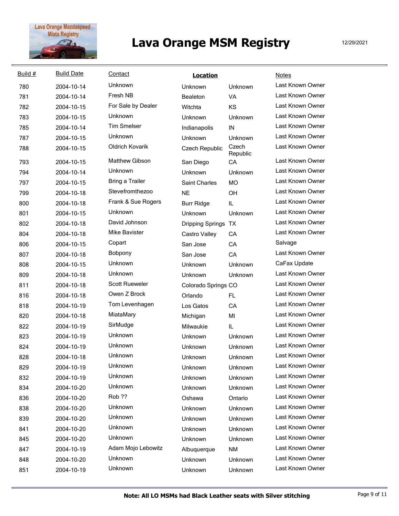

| Build # | <b>Build Date</b> | Contact                | <b>Location</b>         |                   | <b>Notes</b>     |
|---------|-------------------|------------------------|-------------------------|-------------------|------------------|
| 780     | 2004-10-14        | Unknown                | Unknown                 | Unknown           | Last Known Owner |
| 781     | 2004-10-14        | Fresh NB               | Bealeton                | VA                | Last Known Owner |
| 782     | 2004-10-15        | For Sale by Dealer     | Witchta                 | KS                | Last Known Owner |
| 783     | 2004-10-15        | <b>Unknown</b>         | Unknown                 | Unknown           | Last Known Owner |
| 785     | 2004-10-14        | <b>Tim Smelser</b>     | Indianapolis            | IN                | Last Known Owner |
| 787     | 2004-10-15        | <b>Unknown</b>         | Unknown                 | Unknown           | Last Known Owner |
| 788     | 2004-10-15        | Oldrich Kovarik        | Czech Republic          | Czech<br>Republic | Last Known Owner |
| 793     | 2004-10-15        | Matthew Gibson         | San Diego               | CA                | Last Known Owner |
| 794     | 2004-10-14        | <b>Unknown</b>         | Unknown                 | Unknown           | Last Known Owner |
| 797     | 2004-10-15        | <b>Bring a Trailer</b> | <b>Saint Charles</b>    | <b>MO</b>         | Last Known Owner |
| 799     | 2004-10-18        | Stevefromthezoo        | <b>NE</b>               | OH                | Last Known Owner |
| 800     | 2004-10-18        | Frank & Sue Rogers     | <b>Burr Ridge</b>       | IL                | Last Known Owner |
| 801     | 2004-10-15        | Unknown                | Unknown                 | Unknown           | Last Known Owner |
| 802     | 2004-10-18        | David Johnson          | <b>Dripping Springs</b> | <b>TX</b>         | Last Known Owner |
| 804     | 2004-10-18        | <b>Mike Bavister</b>   | Castro Valley           | CA                | Last Known Owner |
| 806     | 2004-10-15        | Copart                 | San Jose                | CA                | Salvage          |
| 807     | 2004-10-18        | Bobpony                | San Jose                | CA                | Last Known Owner |
| 808     | 2004-10-15        | Unknown                | Unknown                 | Unknown           | CaFax Update     |
| 809     | 2004-10-18        | Unknown                | Unknown                 | Unknown           | Last Known Owner |
| 811     | 2004-10-18        | Scott Rueweler         | Colorado Springs CO     |                   | Last Known Owner |
| 816     | 2004-10-18        | Owen Z Brock           | Orlando                 | FL.               | Last Known Owner |
| 818     | 2004-10-19        | Tom Levenhagen         | Los Gatos               | CA                | Last Known Owner |
| 820     | 2004-10-18        | MiataMary              | Michigan                | MI                | Last Known Owner |
| 822     | 2004-10-19        | SirMudge               | Milwaukie               | IL.               | Last Known Owner |
| 823     | 2004-10-19        | <b>Unknown</b>         | Unknown                 | Unknown           | Last Known Owner |
| 824     | 2004-10-19        | Unknown                | Unknown                 | Unknown           | Last Known Owner |
| 828     | 2004-10-18        | Unknown                | Unknown                 | Unknown           | Last Known Owner |
| 829     | 2004-10-19        | Unknown                | Unknown                 | Unknown           | Last Known Owner |
| 832     | 2004-10-19        | Unknown                | Unknown                 | Unknown           | Last Known Owner |
| 834     | 2004-10-20        | Unknown                | Unknown                 | Unknown           | Last Known Owner |
| 836     | 2004-10-20        | Rob ??                 | Oshawa                  | Ontario           | Last Known Owner |
| 838     | 2004-10-20        | Unknown                | Unknown                 | Unknown           | Last Known Owner |
| 839     | 2004-10-20        | Unknown                | Unknown                 | Unknown           | Last Known Owner |
| 841     | 2004-10-20        | <b>Unknown</b>         | Unknown                 | Unknown           | Last Known Owner |
| 845     | 2004-10-20        | Unknown                | Unknown                 | Unknown           | Last Known Owner |
| 847     | 2004-10-19        | Adam Mojo Lebowitz     | Albuquerque             | <b>NM</b>         | Last Known Owner |
| 848     | 2004-10-20        | Unknown                | Unknown                 | Unknown           | Last Known Owner |
| 851     | 2004-10-19        | Unknown                | Unknown                 | Unknown           | Last Known Owner |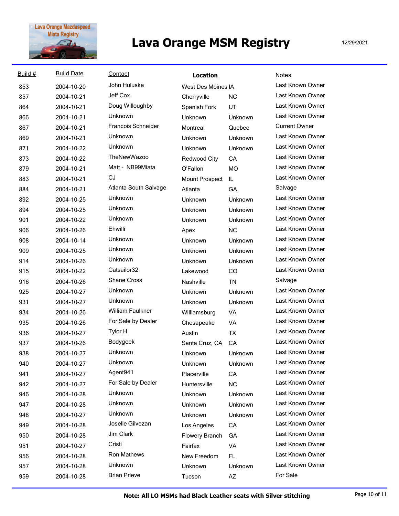

| Build # | <b>Build Date</b> | Contact                   | <b>Location</b>     |           | <b>Notes</b>         |
|---------|-------------------|---------------------------|---------------------|-----------|----------------------|
| 853     | 2004-10-20        | John Huluska              | West Des Moines IA  |           | Last Known Owner     |
| 857     | 2004-10-21        | Jeff Cox                  | Cherryville         | <b>NC</b> | Last Known Owner     |
| 864     | 2004-10-21        | Doug Willoughby           | Spanish Fork        | UT        | Last Known Owner     |
| 866     | 2004-10-21        | Unknown                   | Unknown             | Unknown   | Last Known Owner     |
| 867     | 2004-10-21        | <b>Francois Schneider</b> | Montreal            | Quebec    | <b>Current Owner</b> |
| 869     | 2004-10-21        | Unknown                   | Unknown             | Unknown   | Last Known Owner     |
| 871     | 2004-10-22        | Unknown                   | Unknown             | Unknown   | Last Known Owner     |
| 873     | 2004-10-22        | <b>TheNewWazoo</b>        | <b>Redwood City</b> | CA        | Last Known Owner     |
| 879     | 2004-10-21        | Matt - NB99Miata          | O'Fallon            | <b>MO</b> | Last Known Owner     |
| 883     | 2004-10-21        | CJ                        | Mount Prospect      | IL        | Last Known Owner     |
| 884     | 2004-10-21        | Atlanta South Salvage     | Atlanta             | GA        | Salvage              |
| 892     | 2004-10-25        | Unknown                   | Unknown             | Unknown   | Last Known Owner     |
| 894     | 2004-10-25        | Unknown                   | Unknown             | Unknown   | Last Known Owner     |
| 901     | 2004-10-22        | Unknown                   | Unknown             | Unknown   | Last Known Owner     |
| 906     | 2004-10-26        | Ehwilli                   | Apex                | <b>NC</b> | Last Known Owner     |
| 908     | 2004-10-14        | Unknown                   | Unknown             | Unknown   | Last Known Owner     |
| 909     | 2004-10-25        | Unknown                   | Unknown             | Unknown   | Last Known Owner     |
| 914     | 2004-10-26        | Unknown                   | Unknown             | Unknown   | Last Known Owner     |
| 915     | 2004-10-22        | Catsailor32               | Lakewood            | <b>CO</b> | Last Known Owner     |
| 916     | 2004-10-26        | <b>Shane Cross</b>        | Nashville           | <b>TN</b> | Salvage              |
| 925     | 2004-10-27        | Unknown                   | Unknown             | Unknown   | Last Known Owner     |
| 931     | 2004-10-27        | Unknown                   | Unknown             | Unknown   | Last Known Owner     |
| 934     | 2004-10-26        | William Faulkner          | Williamsburg        | <b>VA</b> | Last Known Owner     |
| 935     | 2004-10-26        | For Sale by Dealer        | Chesapeake          | VA        | Last Known Owner     |
| 936     | 2004-10-27        | Tylor H                   | Austin              | <b>TX</b> | Last Known Owner     |
| 937     | 2004-10-26        | Bodygeek                  | Santa Cruz, CA      | CA        | Last Known Owner     |
| 938     | 2004-10-27        | Unknown                   | Unknown             | Unknown   | Last Known Owner     |
| 940     | 2004-10-27        | Unknown                   | Unknown             | Unknown   | Last Known Owner     |
| 941     | 2004-10-27        | Agent941                  | Placerville         | CA        | Last Known Owner     |
| 942     | 2004-10-27        | For Sale by Dealer        | Huntersville        | <b>NC</b> | Last Known Owner     |
| 946     | 2004-10-28        | Unknown                   | Unknown             | Unknown   | Last Known Owner     |
| 947     | 2004-10-28        | <b>Unknown</b>            | Unknown             | Unknown   | Last Known Owner     |
| 948     | 2004-10-27        | Unknown                   | Unknown             | Unknown   | Last Known Owner     |
| 949     | 2004-10-28        | Joselle Gilvezan          | Los Angeles         | CA        | Last Known Owner     |
| 950     | 2004-10-28        | Jim Clark                 | Flowery Branch      | GA        | Last Known Owner     |
| 951     | 2004-10-27        | Cristi                    | Fairfax             | VA        | Last Known Owner     |
| 956     | 2004-10-28        | Ron Mathews               | New Freedom         | FL.       | Last Known Owner     |
| 957     | 2004-10-28        | Unknown                   | Unknown             | Unknown   | Last Known Owner     |
| 959     | 2004-10-28        | <b>Brian Prieve</b>       | Tucson              | AZ        | For Sale             |